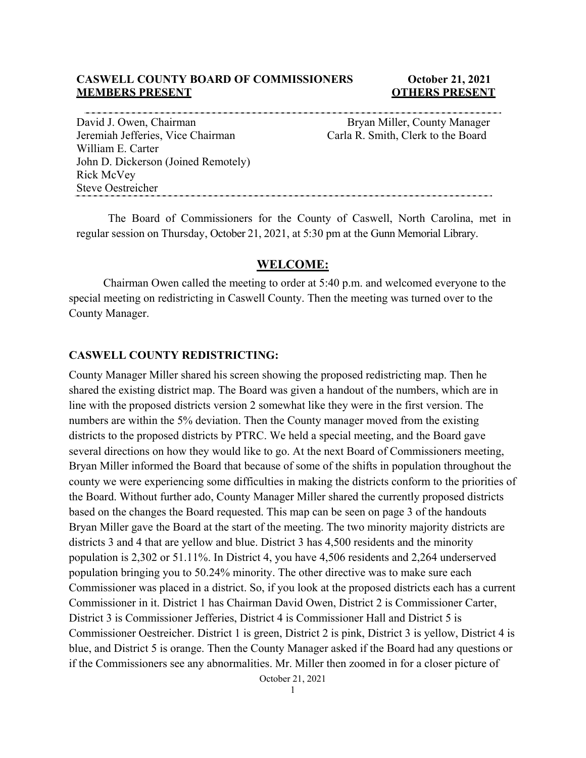### **CASWELL COUNTY BOARD OF COMMISSIONERS October 21, 2021 MEMBERS PRESENT COLLEGE ASSESSED ASSESSED ASSESSED AT A LOCAL COLLEGE AND A LOCAL COLLEGE AT A LOCAL COLLEGE A**

David J. Owen, Chairman Bryan Miller, County Manager Jeremiah Jefferies, Vice Chairman Carla R. Smith, Clerk to the Board William E. Carter John D. Dickerson (Joined Remotely) Rick McVey Steve Oestreicher

The Board of Commissioners for the County of Caswell, North Carolina, met in regular session on Thursday, October 21, 2021, at 5:30 pm at the Gunn Memorial Library.

## **WELCOME:**

Chairman Owen called the meeting to order at 5:40 p.m. and welcomed everyone to the special meeting on redistricting in Caswell County. Then the meeting was turned over to the County Manager.

#### **CASWELL COUNTY REDISTRICTING:**

County Manager Miller shared his screen showing the proposed redistricting map. Then he shared the existing district map. The Board was given a handout of the numbers, which are in line with the proposed districts version 2 somewhat like they were in the first version. The numbers are within the 5% deviation. Then the County manager moved from the existing districts to the proposed districts by PTRC. We held a special meeting, and the Board gave several directions on how they would like to go. At the next Board of Commissioners meeting, Bryan Miller informed the Board that because of some of the shifts in population throughout the county we were experiencing some difficulties in making the districts conform to the priorities of the Board. Without further ado, County Manager Miller shared the currently proposed districts based on the changes the Board requested. This map can be seen on page 3 of the handouts Bryan Miller gave the Board at the start of the meeting. The two minority majority districts are districts 3 and 4 that are yellow and blue. District 3 has 4,500 residents and the minority population is 2,302 or 51.11%. In District 4, you have 4,506 residents and 2,264 underserved population bringing you to 50.24% minority. The other directive was to make sure each Commissioner was placed in a district. So, if you look at the proposed districts each has a current Commissioner in it. District 1 has Chairman David Owen, District 2 is Commissioner Carter, District 3 is Commissioner Jefferies, District 4 is Commissioner Hall and District 5 is Commissioner Oestreicher. District 1 is green, District 2 is pink, District 3 is yellow, District 4 is blue, and District 5 is orange. Then the County Manager asked if the Board had any questions or if the Commissioners see any abnormalities. Mr. Miller then zoomed in for a closer picture of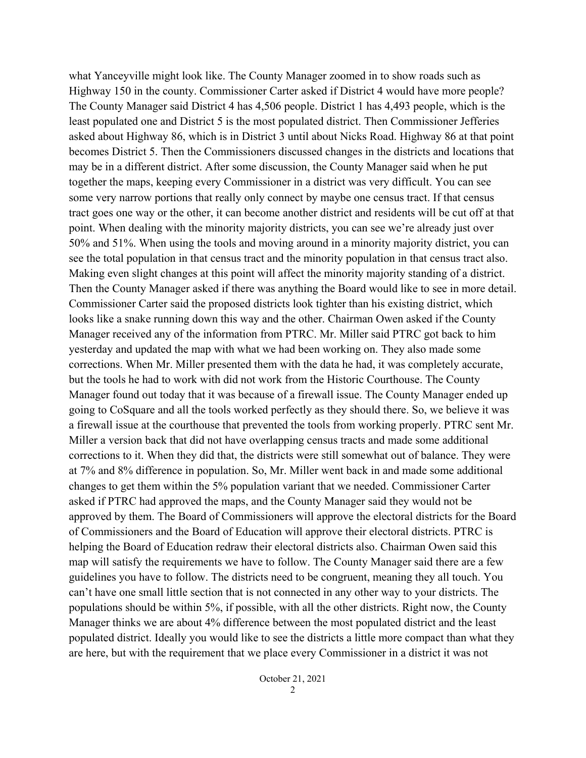what Yanceyville might look like. The County Manager zoomed in to show roads such as Highway 150 in the county. Commissioner Carter asked if District 4 would have more people? The County Manager said District 4 has 4,506 people. District 1 has 4,493 people, which is the least populated one and District 5 is the most populated district. Then Commissioner Jefferies asked about Highway 86, which is in District 3 until about Nicks Road. Highway 86 at that point becomes District 5. Then the Commissioners discussed changes in the districts and locations that may be in a different district. After some discussion, the County Manager said when he put together the maps, keeping every Commissioner in a district was very difficult. You can see some very narrow portions that really only connect by maybe one census tract. If that census tract goes one way or the other, it can become another district and residents will be cut off at that point. When dealing with the minority majority districts, you can see we're already just over 50% and 51%. When using the tools and moving around in a minority majority district, you can see the total population in that census tract and the minority population in that census tract also. Making even slight changes at this point will affect the minority majority standing of a district. Then the County Manager asked if there was anything the Board would like to see in more detail. Commissioner Carter said the proposed districts look tighter than his existing district, which looks like a snake running down this way and the other. Chairman Owen asked if the County Manager received any of the information from PTRC. Mr. Miller said PTRC got back to him yesterday and updated the map with what we had been working on. They also made some corrections. When Mr. Miller presented them with the data he had, it was completely accurate, but the tools he had to work with did not work from the Historic Courthouse. The County Manager found out today that it was because of a firewall issue. The County Manager ended up going to CoSquare and all the tools worked perfectly as they should there. So, we believe it was a firewall issue at the courthouse that prevented the tools from working properly. PTRC sent Mr. Miller a version back that did not have overlapping census tracts and made some additional corrections to it. When they did that, the districts were still somewhat out of balance. They were at 7% and 8% difference in population. So, Mr. Miller went back in and made some additional changes to get them within the 5% population variant that we needed. Commissioner Carter asked if PTRC had approved the maps, and the County Manager said they would not be approved by them. The Board of Commissioners will approve the electoral districts for the Board of Commissioners and the Board of Education will approve their electoral districts. PTRC is helping the Board of Education redraw their electoral districts also. Chairman Owen said this map will satisfy the requirements we have to follow. The County Manager said there are a few guidelines you have to follow. The districts need to be congruent, meaning they all touch. You can't have one small little section that is not connected in any other way to your districts. The populations should be within 5%, if possible, with all the other districts. Right now, the County Manager thinks we are about 4% difference between the most populated district and the least populated district. Ideally you would like to see the districts a little more compact than what they are here, but with the requirement that we place every Commissioner in a district it was not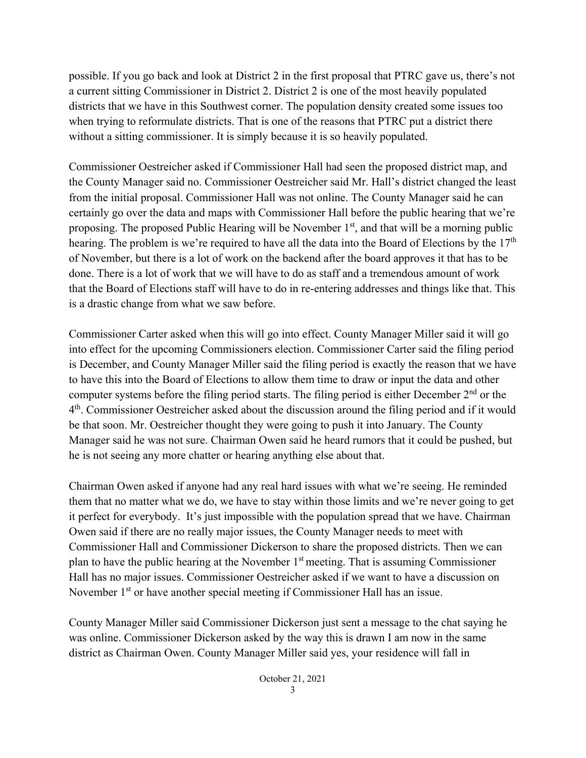possible. If you go back and look at District 2 in the first proposal that PTRC gave us, there's not a current sitting Commissioner in District 2. District 2 is one of the most heavily populated districts that we have in this Southwest corner. The population density created some issues too when trying to reformulate districts. That is one of the reasons that PTRC put a district there without a sitting commissioner. It is simply because it is so heavily populated.

Commissioner Oestreicher asked if Commissioner Hall had seen the proposed district map, and the County Manager said no. Commissioner Oestreicher said Mr. Hall's district changed the least from the initial proposal. Commissioner Hall was not online. The County Manager said he can certainly go over the data and maps with Commissioner Hall before the public hearing that we're proposing. The proposed Public Hearing will be November  $1<sup>st</sup>$ , and that will be a morning public hearing. The problem is we're required to have all the data into the Board of Elections by the  $17<sup>th</sup>$ of November, but there is a lot of work on the backend after the board approves it that has to be done. There is a lot of work that we will have to do as staff and a tremendous amount of work that the Board of Elections staff will have to do in re-entering addresses and things like that. This is a drastic change from what we saw before.

Commissioner Carter asked when this will go into effect. County Manager Miller said it will go into effect for the upcoming Commissioners election. Commissioner Carter said the filing period is December, and County Manager Miller said the filing period is exactly the reason that we have to have this into the Board of Elections to allow them time to draw or input the data and other computer systems before the filing period starts. The filing period is either December 2<sup>nd</sup> or the 4th. Commissioner Oestreicher asked about the discussion around the filing period and if it would be that soon. Mr. Oestreicher thought they were going to push it into January. The County Manager said he was not sure. Chairman Owen said he heard rumors that it could be pushed, but he is not seeing any more chatter or hearing anything else about that.

Chairman Owen asked if anyone had any real hard issues with what we're seeing. He reminded them that no matter what we do, we have to stay within those limits and we're never going to get it perfect for everybody. It's just impossible with the population spread that we have. Chairman Owen said if there are no really major issues, the County Manager needs to meet with Commissioner Hall and Commissioner Dickerson to share the proposed districts. Then we can plan to have the public hearing at the November  $1<sup>st</sup>$  meeting. That is assuming Commissioner Hall has no major issues. Commissioner Oestreicher asked if we want to have a discussion on November 1<sup>st</sup> or have another special meeting if Commissioner Hall has an issue.

County Manager Miller said Commissioner Dickerson just sent a message to the chat saying he was online. Commissioner Dickerson asked by the way this is drawn I am now in the same district as Chairman Owen. County Manager Miller said yes, your residence will fall in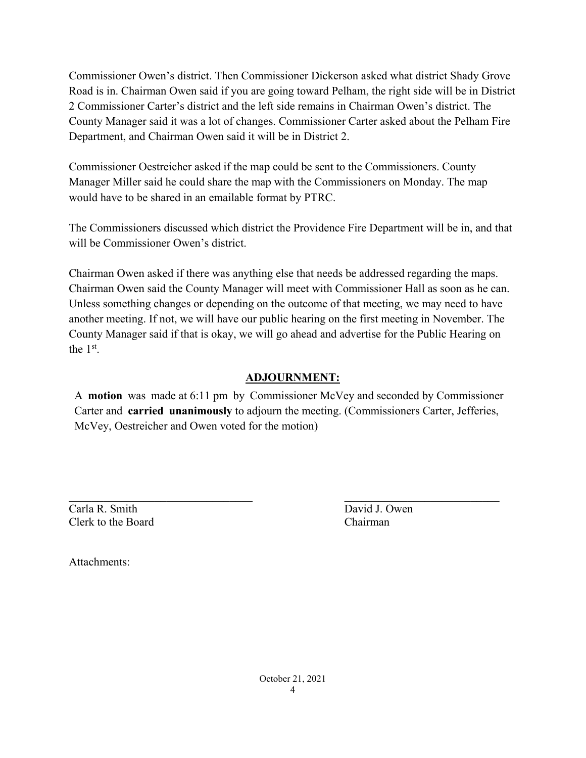Commissioner Owen's district. Then Commissioner Dickerson asked what district Shady Grove Road is in. Chairman Owen said if you are going toward Pelham, the right side will be in District 2 Commissioner Carter's district and the left side remains in Chairman Owen's district. The County Manager said it was a lot of changes. Commissioner Carter asked about the Pelham Fire Department, and Chairman Owen said it will be in District 2.

Commissioner Oestreicher asked if the map could be sent to the Commissioners. County Manager Miller said he could share the map with the Commissioners on Monday. The map would have to be shared in an emailable format by PTRC.

The Commissioners discussed which district the Providence Fire Department will be in, and that will be Commissioner Owen's district.

Chairman Owen asked if there was anything else that needs be addressed regarding the maps. Chairman Owen said the County Manager will meet with Commissioner Hall as soon as he can. Unless something changes or depending on the outcome of that meeting, we may need to have another meeting. If not, we will have our public hearing on the first meeting in November. The County Manager said if that is okay, we will go ahead and advertise for the Public Hearing on the 1st.

# **ADJOURNMENT:**

A **motion** was made at 6:11 pm by Commissioner McVey and seconded by Commissioner Carter and **carried unanimously** to adjourn the meeting. (Commissioners Carter, Jefferies, McVey, Oestreicher and Owen voted for the motion)

Carla R. Smith David J. Owen Clerk to the Board Chairman

 $\overline{\phantom{a}}$  , and the contribution of the contribution of the contribution of the contribution of the contribution of the contribution of the contribution of the contribution of the contribution of the contribution of the

Attachments: